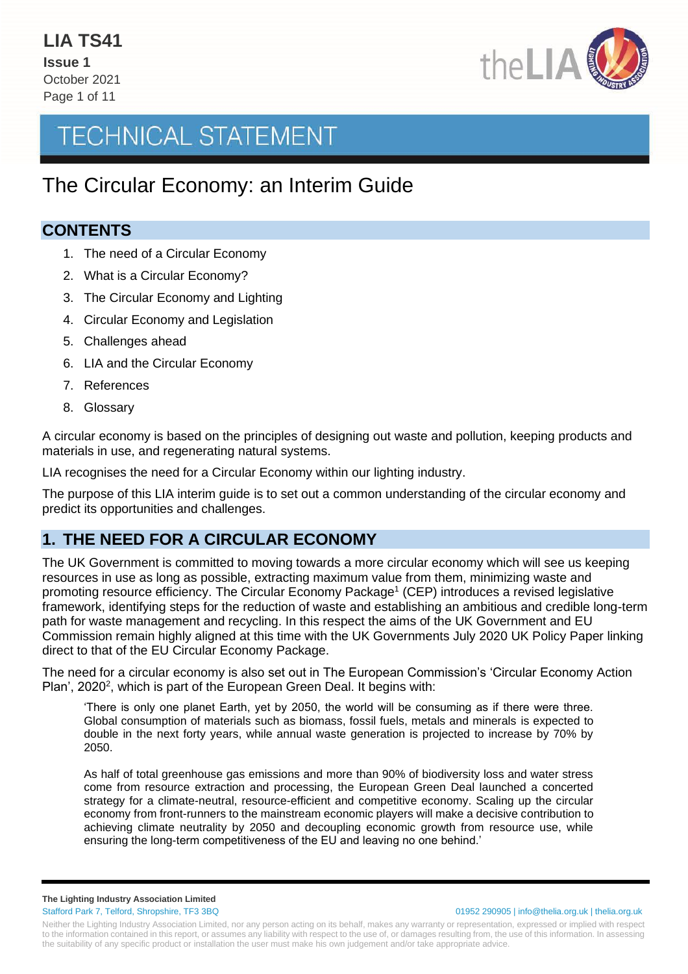

### The Circular Economy: an Interim Guide

#### **CONTENTS**

- 1. The need of a Circular Economy
- 2. What is a Circular Economy?
- 3. The Circular Economy and Lighting
- 4. Circular Economy and Legislation
- 5. Challenges ahead
- 6. LIA and the Circular Economy
- 7. References
- 8. Glossary

A circular economy is based on the principles of designing out waste and pollution, keeping products and materials in use, and regenerating natural systems.

LIA recognises the need for a Circular Economy within our lighting industry.

The purpose of this LIA interim guide is to set out a common understanding of the circular economy and predict its opportunities and challenges.

### **1. THE NEED FOR A CIRCULAR ECONOMY**

The UK Government is committed to moving towards a more circular economy which will see us keeping resources in use as long as possible, extracting maximum value from them, minimizing waste and promoting resource efficiency. The Circular Economy Package<sup>1</sup> (CEP) introduces a revised legislative framework, identifying steps for the reduction of waste and establishing an ambitious and credible long-term path for waste management and recycling. In this respect the aims of the UK Government and EU Commission remain highly aligned at this time with the UK Governments July 2020 UK Policy Paper linking direct to that of the EU Circular Economy Package.

The need for a circular economy is also set out in The European Commission's 'Circular Economy Action Plan', 2020<sup>2</sup>, which is part of the European Green Deal. It begins with:

'There is only one planet Earth, yet by 2050, the world will be consuming as if there were three. Global consumption of materials such as biomass, fossil fuels, metals and minerals is expected to double in the next forty years, while annual waste generation is projected to increase by 70% by 2050.

As half of total greenhouse gas emissions and more than 90% of biodiversity loss and water stress come from resource extraction and processing, the European Green Deal launched a concerted strategy for a climate-neutral, resource-efficient and competitive economy. Scaling up the circular economy from front-runners to the mainstream economic players will make a decisive contribution to achieving climate neutrality by 2050 and decoupling economic growth from resource use, while ensuring the long-term competitiveness of the EU and leaving no one behind.'

**The Lighting Industry Association Limited**

Stafford Park 7, Telford, Shropshire, TF3 3BQ 01952 290905 | info@thelia.org.uk | thelia.org.uk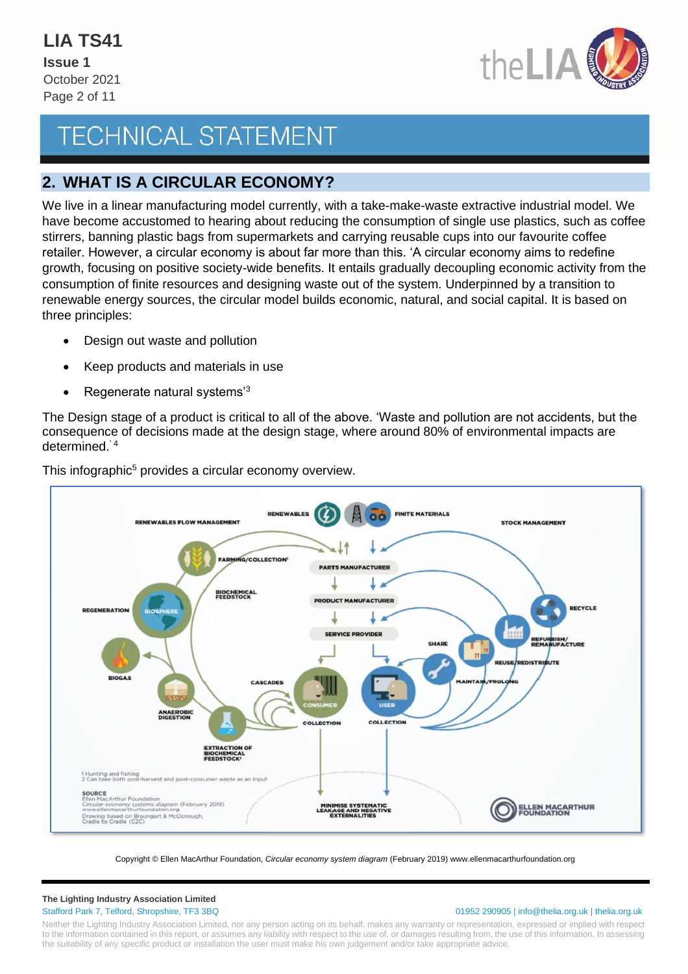

### **2. WHAT IS A CIRCULAR ECONOMY?**

We live in a linear manufacturing model currently, with a take-make-waste extractive industrial model. We have become accustomed to hearing about reducing the consumption of single use plastics, such as coffee stirrers, banning plastic bags from supermarkets and carrying reusable cups into our favourite coffee retailer. However, a circular economy is about far more than this. 'A circular economy aims to redefine growth, focusing on positive society-wide benefits. It entails gradually decoupling economic activity from the consumption of finite resources and designing waste out of the system. Underpinned by a transition to renewable energy sources, the circular model builds economic, natural, and social capital. It is based on three principles:

- Design out waste and pollution
- Keep products and materials in use
- Regenerate natural systems'<sup>3</sup>

The Design stage of a product is critical to all of the above. 'Waste and pollution are not accidents, but the consequence of decisions made at the design stage, where around 80% of environmental impacts are determined.' 4



This infographic<sup>5</sup> provides a circular economy overview.

Copyright © Ellen MacArthur Foundation, *Circular economy system diagram* (February 2019) www.ellenmacarthurfoundation.org

## **The Lighting Industry Association Limited**

#### Stafford Park 7, Telford, Shropshire, TF3 3BQ 01952 290905 | info@thelia.org.uk | thelia.org.uk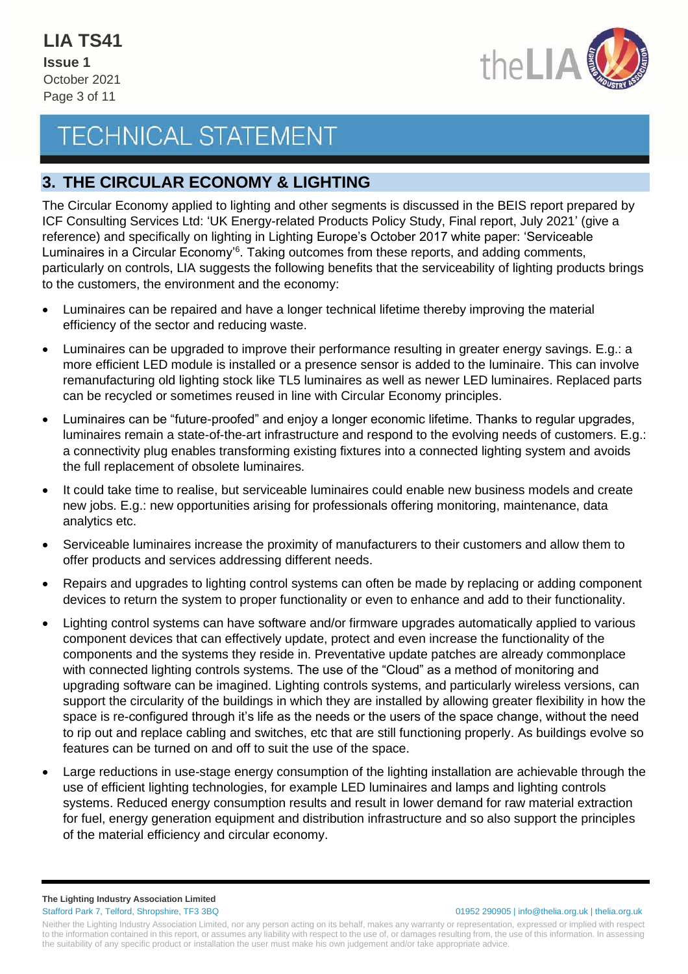

### **3. THE CIRCULAR ECONOMY & LIGHTING**

The Circular Economy applied to lighting and other segments is discussed in the BEIS report prepared by ICF Consulting Services Ltd: 'UK Energy-related Products Policy Study, Final report, July 2021' (give a reference) and specifically on lighting in Lighting Europe's October 2017 white paper: 'Serviceable Luminaires in a Circular Economy'<sup>6</sup> . Taking outcomes from these reports, and adding comments, particularly on controls, LIA suggests the following benefits that the serviceability of lighting products brings to the customers, the environment and the economy:

- Luminaires can be repaired and have a longer technical lifetime thereby improving the material efficiency of the sector and reducing waste.
- Luminaires can be upgraded to improve their performance resulting in greater energy savings. E.g.: a more efficient LED module is installed or a presence sensor is added to the luminaire. This can involve remanufacturing old lighting stock like TL5 luminaires as well as newer LED luminaires. Replaced parts can be recycled or sometimes reused in line with Circular Economy principles.
- Luminaires can be "future-proofed" and enjoy a longer economic lifetime. Thanks to regular upgrades, luminaires remain a state-of-the-art infrastructure and respond to the evolving needs of customers. E.g.: a connectivity plug enables transforming existing fixtures into a connected lighting system and avoids the full replacement of obsolete luminaires.
- It could take time to realise, but serviceable luminaires could enable new business models and create new jobs. E.g.: new opportunities arising for professionals offering monitoring, maintenance, data analytics etc.
- Serviceable luminaires increase the proximity of manufacturers to their customers and allow them to offer products and services addressing different needs.
- Repairs and upgrades to lighting control systems can often be made by replacing or adding component devices to return the system to proper functionality or even to enhance and add to their functionality.
- Lighting control systems can have software and/or firmware upgrades automatically applied to various component devices that can effectively update, protect and even increase the functionality of the components and the systems they reside in. Preventative update patches are already commonplace with connected lighting controls systems. The use of the "Cloud" as a method of monitoring and upgrading software can be imagined. Lighting controls systems, and particularly wireless versions, can support the circularity of the buildings in which they are installed by allowing greater flexibility in how the space is re-configured through it's life as the needs or the users of the space change, without the need to rip out and replace cabling and switches, etc that are still functioning properly. As buildings evolve so features can be turned on and off to suit the use of the space.
- Large reductions in use-stage energy consumption of the lighting installation are achievable through the use of efficient lighting technologies, for example LED luminaires and lamps and lighting controls systems. Reduced energy consumption results and result in lower demand for raw material extraction for fuel, energy generation equipment and distribution infrastructure and so also support the principles of the material efficiency and circular economy.

**The Lighting Industry Association Limited** Stafford Park 7, Telford, Shropshire, TF3 3BQ 01952 290905 | info@thelia.org.uk | thelia.org.uk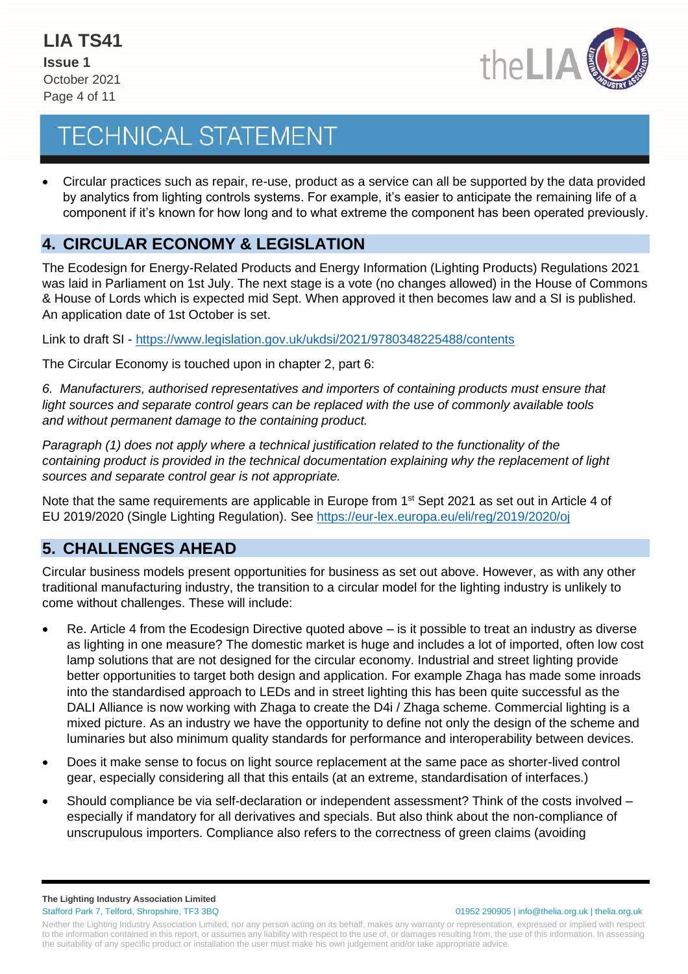

• Circular practices such as repair, re-use, product as a service can all be supported by the data provided by analytics from lighting controls systems. For example, it's easier to anticipate the remaining life of a component if it's known for how long and to what extreme the component has been operated previously.

### **4. CIRCULAR ECONOMY & LEGISLATION**

The Ecodesign for Energy-Related Products and Energy Information (Lighting Products) Regulations 2021 was laid in Parliament on 1st July. The next stage is a vote (no changes allowed) in the House of Commons & House of Lords which is expected mid Sept. When approved it then becomes law and a SI is published. An application date of 1st October is set.

Link to draft SI - <https://www.legislation.gov.uk/ukdsi/2021/9780348225488/contents>

The Circular Economy is touched upon in chapter 2, part 6:

*6. Manufacturers, authorised representatives and importers of containing products must ensure that light sources and separate control gears can be replaced with the use of commonly available tools and without permanent damage to the containing product.*

*Paragraph (1) does not apply where a technical justification related to the functionality of the containing product is provided in the technical documentation explaining why the replacement of light sources and separate control gear is not appropriate.*

Note that the same requirements are applicable in Europe from 1<sup>st</sup> Sept 2021 as set out in Article 4 of EU 2019/2020 (Single Lighting Regulation). See<https://eur-lex.europa.eu/eli/reg/2019/2020/oj>

### **5. CHALLENGES AHEAD**

Circular business models present opportunities for business as set out above. However, as with any other traditional manufacturing industry, the transition to a circular model for the lighting industry is unlikely to come without challenges. These will include:

- Re. Article 4 from the Ecodesign Directive quoted above is it possible to treat an industry as diverse as lighting in one measure? The domestic market is huge and includes a lot of imported, often low cost lamp solutions that are not designed for the circular economy. Industrial and street lighting provide better opportunities to target both design and application. For example Zhaga has made some inroads into the standardised approach to LEDs and in street lighting this has been quite successful as the DALI Alliance is now working with Zhaga to create the D4i / Zhaga scheme. Commercial lighting is a mixed picture. As an industry we have the opportunity to define not only the design of the scheme and luminaries but also minimum quality standards for performance and interoperability between devices.
- Does it make sense to focus on light source replacement at the same pace as shorter-lived control gear, especially considering all that this entails (at an extreme, standardisation of interfaces.)
- Should compliance be via self-declaration or independent assessment? Think of the costs involved especially if mandatory for all derivatives and specials. But also think about the non-compliance of unscrupulous importers. Compliance also refers to the correctness of green claims (avoiding

Neither the Lighting Industry Association Limited, nor any person acting on its behalf, makes any warranty or representation, expressed or implied with respect to the information contained in this report, or assumes any liability with respect to the use of, or damages resulting from, the use of this information. In assessing the suitability of any specific product or installation the user must make his own judgement and/or take appropriate advice.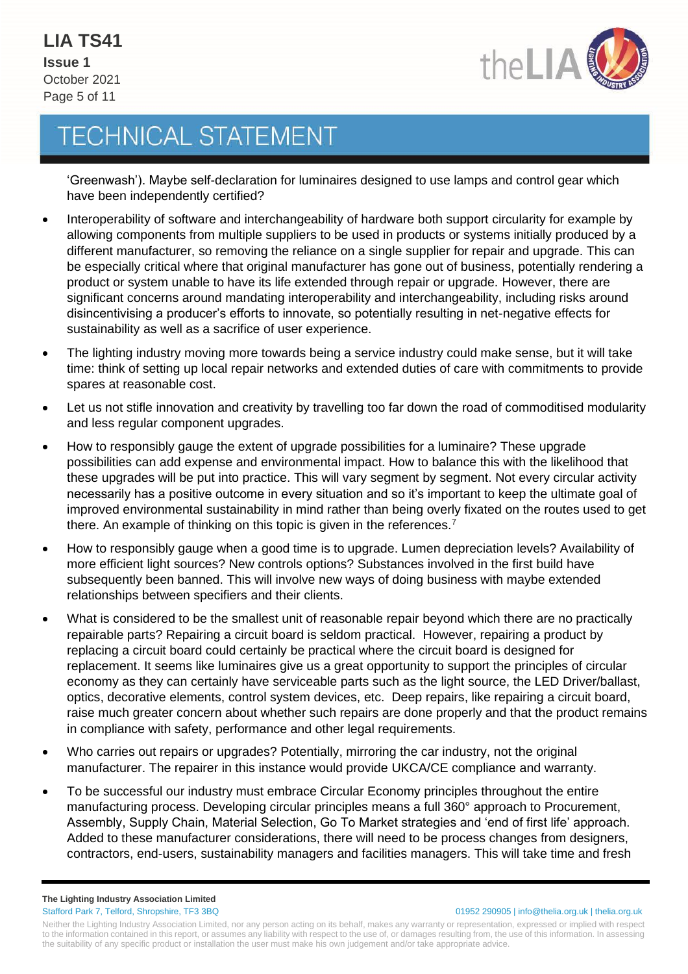

'Greenwash'). Maybe self-declaration for luminaires designed to use lamps and control gear which have been independently certified?

- Interoperability of software and interchangeability of hardware both support circularity for example by allowing components from multiple suppliers to be used in products or systems initially produced by a different manufacturer, so removing the reliance on a single supplier for repair and upgrade. This can be especially critical where that original manufacturer has gone out of business, potentially rendering a product or system unable to have its life extended through repair or upgrade. However, there are significant concerns around mandating interoperability and interchangeability, including risks around disincentivising a producer's efforts to innovate, so potentially resulting in net-negative effects for sustainability as well as a sacrifice of user experience.
- The lighting industry moving more towards being a service industry could make sense, but it will take time: think of setting up local repair networks and extended duties of care with commitments to provide spares at reasonable cost.
- Let us not stifle innovation and creativity by travelling too far down the road of commoditised modularity and less regular component upgrades.
- How to responsibly gauge the extent of upgrade possibilities for a luminaire? These upgrade possibilities can add expense and environmental impact. How to balance this with the likelihood that these upgrades will be put into practice. This will vary segment by segment. Not every circular activity necessarily has a positive outcome in every situation and so it's important to keep the ultimate goal of improved environmental sustainability in mind rather than being overly fixated on the routes used to get there. An example of thinking on this topic is given in the references.<sup>7</sup>
- How to responsibly gauge when a good time is to upgrade. Lumen depreciation levels? Availability of more efficient light sources? New controls options? Substances involved in the first build have subsequently been banned. This will involve new ways of doing business with maybe extended relationships between specifiers and their clients.
- What is considered to be the smallest unit of reasonable repair beyond which there are no practically repairable parts? Repairing a circuit board is seldom practical. However, repairing a product by replacing a circuit board could certainly be practical where the circuit board is designed for replacement. It seems like luminaires give us a great opportunity to support the principles of circular economy as they can certainly have serviceable parts such as the light source, the LED Driver/ballast, optics, decorative elements, control system devices, etc. Deep repairs, like repairing a circuit board, raise much greater concern about whether such repairs are done properly and that the product remains in compliance with safety, performance and other legal requirements.
- Who carries out repairs or upgrades? Potentially, mirroring the car industry, not the original manufacturer. The repairer in this instance would provide UKCA/CE compliance and warranty.
- To be successful our industry must embrace Circular Economy principles throughout the entire manufacturing process. Developing circular principles means a full 360° approach to Procurement, Assembly, Supply Chain, Material Selection, Go To Market strategies and 'end of first life' approach. Added to these manufacturer considerations, there will need to be process changes from designers, contractors, end-users, sustainability managers and facilities managers. This will take time and fresh

**The Lighting Industry Association Limited** Stafford Park 7, Telford, Shropshire, TF3 3BQ 01952 290905 | info@thelia.org.uk | thelia.org.uk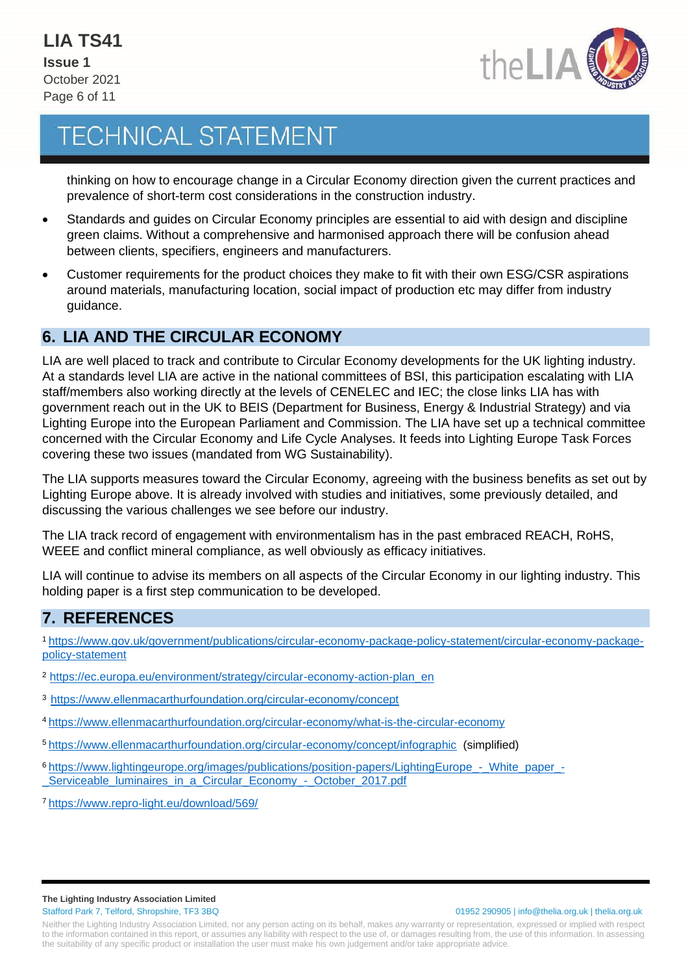

thinking on how to encourage change in a Circular Economy direction given the current practices and prevalence of short-term cost considerations in the construction industry.

- Standards and guides on Circular Economy principles are essential to aid with design and discipline green claims. Without a comprehensive and harmonised approach there will be confusion ahead between clients, specifiers, engineers and manufacturers.
- Customer requirements for the product choices they make to fit with their own ESG/CSR aspirations around materials, manufacturing location, social impact of production etc may differ from industry guidance.

### **6. LIA AND THE CIRCULAR ECONOMY**

LIA are well placed to track and contribute to Circular Economy developments for the UK lighting industry. At a standards level LIA are active in the national committees of BSI, this participation escalating with LIA staff/members also working directly at the levels of CENELEC and IEC; the close links LIA has with government reach out in the UK to BEIS (Department for Business, Energy & Industrial Strategy) and via Lighting Europe into the European Parliament and Commission. The LIA have set up a technical committee concerned with the Circular Economy and Life Cycle Analyses. It feeds into Lighting Europe Task Forces covering these two issues (mandated from WG Sustainability).

The LIA supports measures toward the Circular Economy, agreeing with the business benefits as set out by Lighting Europe above. It is already involved with studies and initiatives, some previously detailed, and discussing the various challenges we see before our industry.

The LIA track record of engagement with environmentalism has in the past embraced REACH, RoHS, WEEE and conflict mineral compliance, as well obviously as efficacy initiatives.

LIA will continue to advise its members on all aspects of the Circular Economy in our lighting industry. This holding paper is a first step communication to be developed.

### **7. REFERENCES**

1 [https://www.gov.uk/government/publications/circular-economy-package-policy-statement/circular-economy-package](https://www.gov.uk/government/publications/circular-economy-package-policy-statement/circular-economy-package-policy-statement)[policy-statement](https://www.gov.uk/government/publications/circular-economy-package-policy-statement/circular-economy-package-policy-statement)

- <sup>2</sup> [https://ec.europa.eu/environment/strategy/circular-economy-action-plan\\_en](https://ec.europa.eu/environment/strategy/circular-economy-action-plan_en)
- <sup>3</sup><https://www.ellenmacarthurfoundation.org/circular-economy/concept>
- <sup>4</sup> <https://www.ellenmacarthurfoundation.org/circular-economy/what-is-the-circular-economy>
- <sup>5</sup> <https://www.ellenmacarthurfoundation.org/circular-economy/concept/infographic> (simplified)
- <sup>6</sup> [https://www.lightingeurope.org/images/publications/position-papers/LightingEurope\\_-\\_White\\_paper\\_-](https://www.lightingeurope.org/images/publications/position-papers/LightingEurope_-_White_paper_-_Serviceable_luminaires_in_a_Circular_Economy_-_October_2017.pdf) [\\_Serviceable\\_luminaires\\_in\\_a\\_Circular\\_Economy\\_-\\_October\\_2017.pdf](https://www.lightingeurope.org/images/publications/position-papers/LightingEurope_-_White_paper_-_Serviceable_luminaires_in_a_Circular_Economy_-_October_2017.pdf)
- <sup>7</sup> https://www.repro-light.eu/download/569/

#### **The Lighting Industry Association Limited**

Stafford Park 7, Telford, Shropshire, TF3 3BQ 01952 290905 | info@thelia.org.uk | thelia.org.uk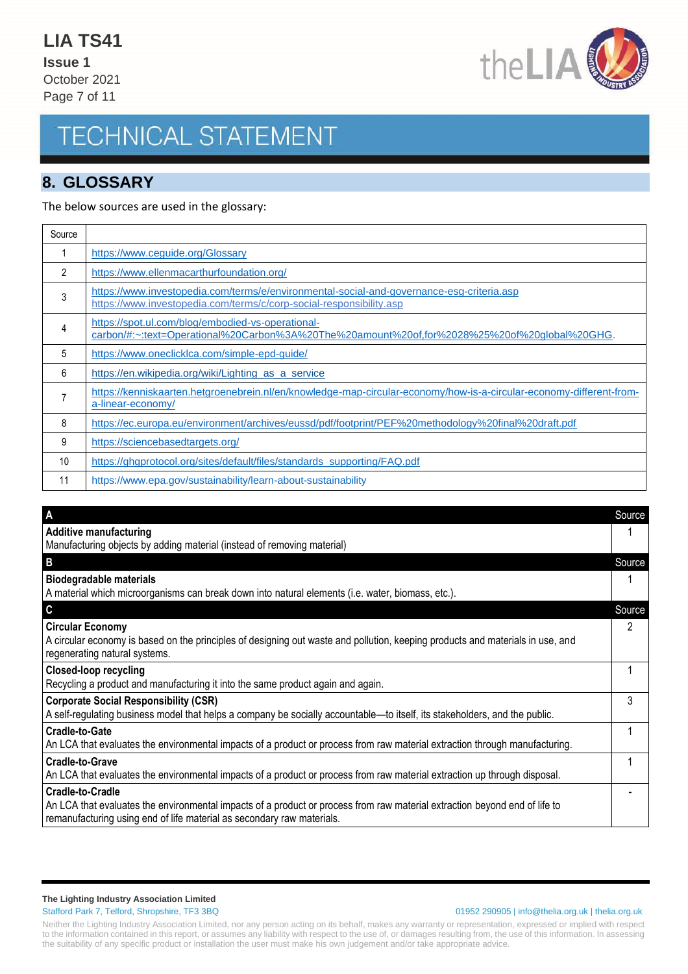**Issue 1** October 2021 Page 7 of 11



## **TECHNICAL STATEMENT**

### **8. GLOSSARY**

#### The below sources are used in the glossary:

| Source |                                                                                                                                                                  |
|--------|------------------------------------------------------------------------------------------------------------------------------------------------------------------|
|        | https://www.ceguide.org/Glossary                                                                                                                                 |
| 2      | https://www.ellenmacarthurfoundation.org/                                                                                                                        |
| 3      | https://www.investopedia.com/terms/e/environmental-social-and-governance-esg-criteria.asp<br>https://www.investopedia.com/terms/c/corp-social-responsibility.asp |
| 4      | https://spot.ul.com/blog/embodied-vs-operational-<br>carbon/#:~:text=Operational%20Carbon%3A%20The%20amount%20of,for%2028%25%20of%20global%20GHG.                |
| 5      | https://www.oneclicklca.com/simple-epd-guide/                                                                                                                    |
| 6      | https://en.wikipedia.org/wiki/Lighting as a service                                                                                                              |
|        | https://kenniskaarten.hetgroenebrein.nl/en/knowledge-map-circular-economy/how-is-a-circular-economy-different-from-<br>a-linear-economy/                         |
| 8      | https://ec.europa.eu/environment/archives/eussd/pdf/footprint/PEF%20methodology%20final%20draft.pdf                                                              |
| 9      | https://sciencebasedtargets.org/                                                                                                                                 |
| 10     | https://ghaprotocol.org/sites/default/files/standards_supporting/FAQ.pdf                                                                                         |
| 11     | https://www.epa.gov/sustainability/learn-about-sustainability                                                                                                    |

| A                                                                                                                                                                                                    | Source |
|------------------------------------------------------------------------------------------------------------------------------------------------------------------------------------------------------|--------|
| <b>Additive manufacturing</b>                                                                                                                                                                        |        |
| Manufacturing objects by adding material (instead of removing material)                                                                                                                              |        |
| B                                                                                                                                                                                                    | Source |
| <b>Biodegradable materials</b>                                                                                                                                                                       |        |
| A material which microorganisms can break down into natural elements (i.e. water, biomass, etc.).                                                                                                    |        |
| C                                                                                                                                                                                                    | Source |
| <b>Circular Economy</b>                                                                                                                                                                              | 2      |
| A circular economy is based on the principles of designing out waste and pollution, keeping products and materials in use, and                                                                       |        |
| regenerating natural systems.                                                                                                                                                                        |        |
| <b>Closed-loop recycling</b>                                                                                                                                                                         |        |
| Recycling a product and manufacturing it into the same product again and again.                                                                                                                      |        |
| <b>Corporate Social Responsibility (CSR)</b>                                                                                                                                                         | 3      |
| A self-regulating business model that helps a company be socially accountable—to itself, its stakeholders, and the public.                                                                           |        |
| <b>Cradle-to-Gate</b>                                                                                                                                                                                |        |
| An LCA that evaluates the environmental impacts of a product or process from raw material extraction through manufacturing.                                                                          |        |
| <b>Cradle-to-Grave</b>                                                                                                                                                                               |        |
| An LCA that evaluates the environmental impacts of a product or process from raw material extraction up through disposal.                                                                            |        |
| <b>Cradle-to-Cradle</b>                                                                                                                                                                              |        |
| An LCA that evaluates the environmental impacts of a product or process from raw material extraction beyond end of life to<br>remanufacturing using end of life material as secondary raw materials. |        |

#### **The Lighting Industry Association Limited**

#### Stafford Park 7, Telford, Shropshire, TF3 3BQ 01952 290905 | info@thelia.org.uk | thelia.org.uk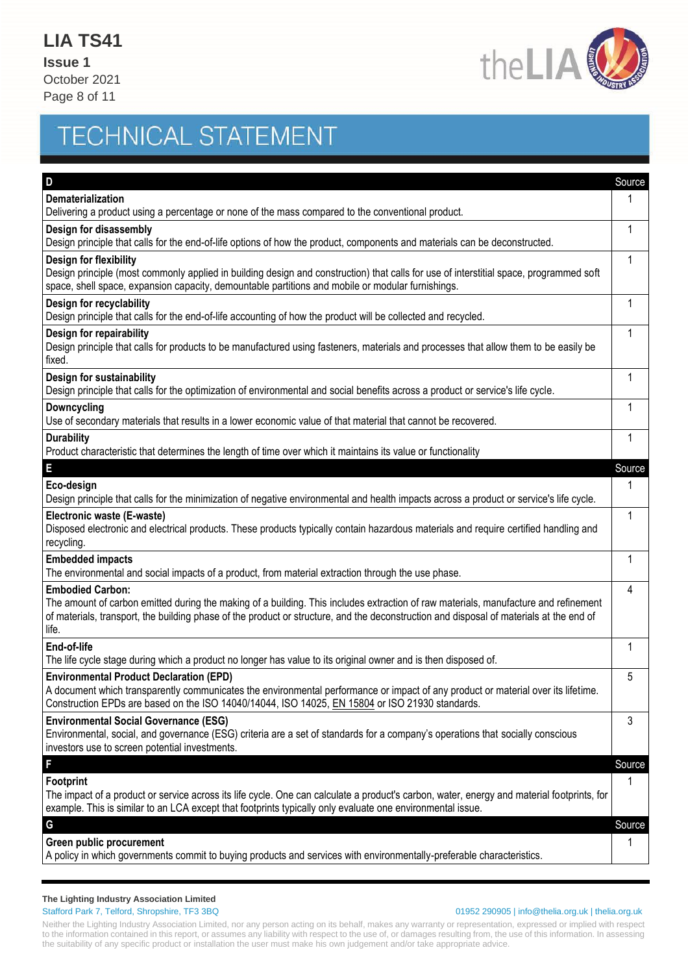**Issue 1** October 2021 Page 8 of 11



# **TECHNICAL STATEMENT**

| D                                                                                                                                                                                                                                                                                                                  | Source       |
|--------------------------------------------------------------------------------------------------------------------------------------------------------------------------------------------------------------------------------------------------------------------------------------------------------------------|--------------|
| Dematerialization                                                                                                                                                                                                                                                                                                  | 1            |
| Delivering a product using a percentage or none of the mass compared to the conventional product.                                                                                                                                                                                                                  |              |
| Design for disassembly                                                                                                                                                                                                                                                                                             | 1            |
| Design principle that calls for the end-of-life options of how the product, components and materials can be deconstructed.                                                                                                                                                                                         |              |
| Design for flexibility<br>Design principle (most commonly applied in building design and construction) that calls for use of interstitial space, programmed soft                                                                                                                                                   | 1            |
| space, shell space, expansion capacity, demountable partitions and mobile or modular furnishings.                                                                                                                                                                                                                  |              |
| Design for recyclability                                                                                                                                                                                                                                                                                           | 1            |
| Design principle that calls for the end-of-life accounting of how the product will be collected and recycled.                                                                                                                                                                                                      |              |
| Design for repairability<br>Design principle that calls for products to be manufactured using fasteners, materials and processes that allow them to be easily be<br>fixed.                                                                                                                                         | 1            |
| Design for sustainability<br>Design principle that calls for the optimization of environmental and social benefits across a product or service's life cycle.                                                                                                                                                       | 1            |
| <b>Downcycling</b>                                                                                                                                                                                                                                                                                                 | 1            |
| Use of secondary materials that results in a lower economic value of that material that cannot be recovered.                                                                                                                                                                                                       |              |
| <b>Durability</b>                                                                                                                                                                                                                                                                                                  | 1            |
| Product characteristic that determines the length of time over which it maintains its value or functionality                                                                                                                                                                                                       |              |
| E                                                                                                                                                                                                                                                                                                                  | Source       |
| Eco-design<br>Design principle that calls for the minimization of negative environmental and health impacts across a product or service's life cycle.                                                                                                                                                              | 1            |
|                                                                                                                                                                                                                                                                                                                    |              |
| Electronic waste (E-waste)<br>Disposed electronic and electrical products. These products typically contain hazardous materials and require certified handling and<br>recycling.                                                                                                                                   | $\mathbf{1}$ |
| <b>Embedded impacts</b>                                                                                                                                                                                                                                                                                            | 1            |
| The environmental and social impacts of a product, from material extraction through the use phase.                                                                                                                                                                                                                 |              |
| <b>Embodied Carbon:</b><br>The amount of carbon emitted during the making of a building. This includes extraction of raw materials, manufacture and refinement<br>of materials, transport, the building phase of the product or structure, and the deconstruction and disposal of materials at the end of<br>life. | 4            |
| End-of-life<br>The life cycle stage during which a product no longer has value to its original owner and is then disposed of.                                                                                                                                                                                      | 1            |
| <b>Environmental Product Declaration (EPD)</b><br>A document which transparently communicates the environmental performance or impact of any product or material over its lifetime.<br>Construction EPDs are based on the ISO 14040/14044, ISO 14025, EN 15804 or ISO 21930 standards.                             | 5            |
| <b>Environmental Social Governance (ESG)</b><br>Environmental, social, and governance (ESG) criteria are a set of standards for a company's operations that socially conscious<br>investors use to screen potential investments.                                                                                   | 3            |
| F                                                                                                                                                                                                                                                                                                                  | Source       |
| Footprint                                                                                                                                                                                                                                                                                                          | 1            |
| The impact of a product or service across its life cycle. One can calculate a product's carbon, water, energy and material footprints, for<br>example. This is similar to an LCA except that footprints typically only evaluate one environmental issue.                                                           |              |
| G                                                                                                                                                                                                                                                                                                                  | Source       |
| Green public procurement<br>A policy in which governments commit to buying products and services with environmentally-preferable characteristics.                                                                                                                                                                  | 1            |
|                                                                                                                                                                                                                                                                                                                    |              |

#### **The Lighting Industry Association Limited**

#### Stafford Park 7, Telford, Shropshire, TF3 3BQ 01952 290905 | info@thelia.org.uk | thelia.org.uk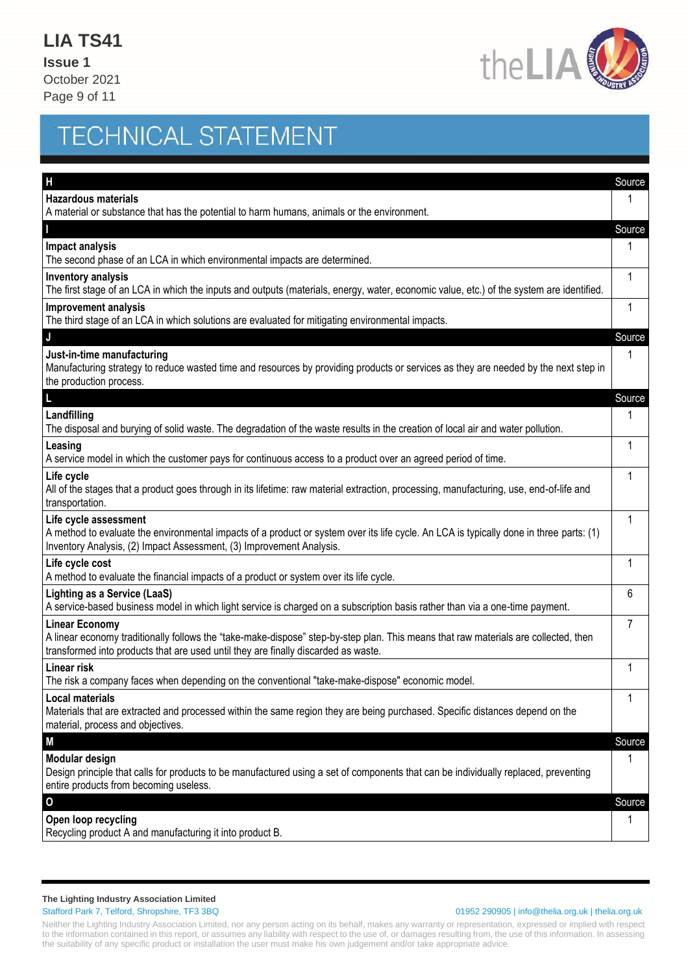**Issue 1** October 2021 Page 9 of 11



# **TECHNICAL STATEMENT**

| Н                                                                                                                                                                                                                                                  | Source |
|----------------------------------------------------------------------------------------------------------------------------------------------------------------------------------------------------------------------------------------------------|--------|
| <b>Hazardous materials</b>                                                                                                                                                                                                                         |        |
| A material or substance that has the potential to harm humans, animals or the environment.                                                                                                                                                         |        |
|                                                                                                                                                                                                                                                    | Source |
| <b>Impact analysis</b><br>The second phase of an LCA in which environmental impacts are determined.                                                                                                                                                | 1      |
| <b>Inventory analysis</b><br>The first stage of an LCA in which the inputs and outputs (materials, energy, water, economic value, etc.) of the system are identified.                                                                              | 1      |
| <b>Improvement analysis</b><br>The third stage of an LCA in which solutions are evaluated for mitigating environmental impacts.                                                                                                                    | 1      |
| J                                                                                                                                                                                                                                                  | Source |
| Just-in-time manufacturing<br>Manufacturing strategy to reduce wasted time and resources by providing products or services as they are needed by the next step in<br>the production process.                                                       | 1      |
|                                                                                                                                                                                                                                                    | Source |
| Landfilling<br>The disposal and burying of solid waste. The degradation of the waste results in the creation of local air and water pollution.                                                                                                     | 1      |
| Leasing<br>A service model in which the customer pays for continuous access to a product over an agreed period of time.                                                                                                                            | 1      |
| Life cycle<br>All of the stages that a product goes through in its lifetime: raw material extraction, processing, manufacturing, use, end-of-life and<br>transportation.                                                                           | 1      |
| Life cycle assessment<br>A method to evaluate the environmental impacts of a product or system over its life cycle. An LCA is typically done in three parts: (1)<br>Inventory Analysis, (2) Impact Assessment, (3) Improvement Analysis.           | 1      |
| Life cycle cost<br>A method to evaluate the financial impacts of a product or system over its life cycle.                                                                                                                                          | 1      |
| <b>Lighting as a Service (LaaS)</b><br>A service-based business model in which light service is charged on a subscription basis rather than via a one-time payment.                                                                                | 6      |
| <b>Linear Economy</b><br>A linear economy traditionally follows the "take-make-dispose" step-by-step plan. This means that raw materials are collected, then<br>transformed into products that are used until they are finally discarded as waste. | 7      |
| <b>Linear risk</b><br>The risk a company faces when depending on the conventional "take-make-dispose" economic model.                                                                                                                              | 1      |
| <b>Local materials</b><br>Materials that are extracted and processed within the same region they are being purchased. Specific distances depend on the<br>material, process and objectives.                                                        | 1      |
| M                                                                                                                                                                                                                                                  | Source |
| Modular design<br>Design principle that calls for products to be manufactured using a set of components that can be individually replaced, preventing<br>entire products from becoming useless.                                                    | 1      |
| 0                                                                                                                                                                                                                                                  | Source |
| Open loop recycling<br>Recycling product A and manufacturing it into product B.                                                                                                                                                                    | 1      |
|                                                                                                                                                                                                                                                    |        |

#### **The Lighting Industry Association Limited**

#### Stafford Park 7, Telford, Shropshire, TF3 3BQ 01952 290905 | info@thelia.org.uk | thelia.org.uk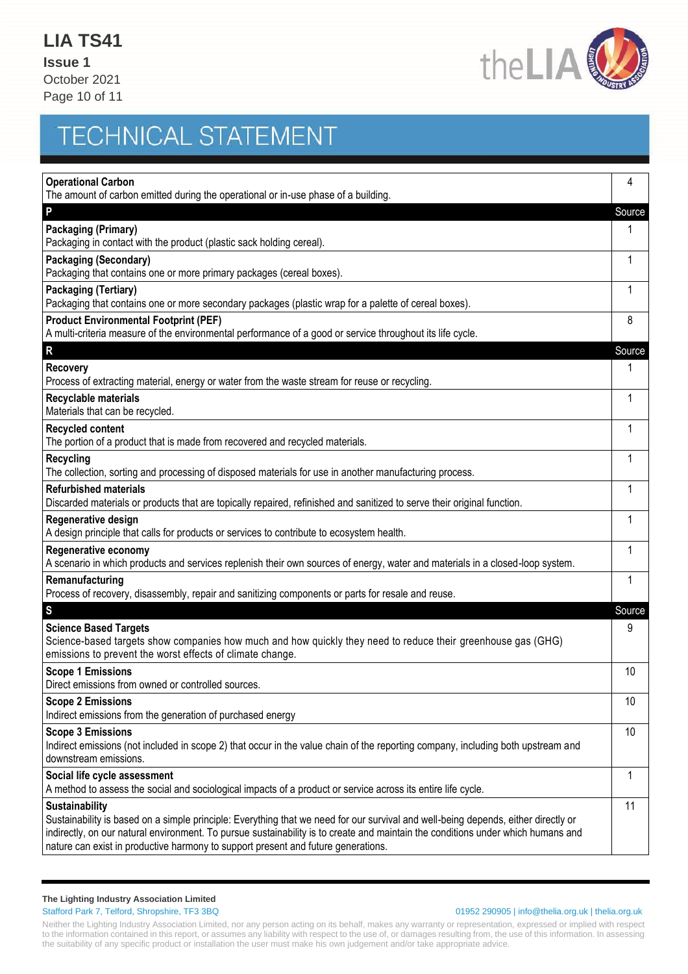**Issue 1** October 2021 Page 10 of 11



## **TECHNICAL STATEMENT**

| <b>Operational Carbon</b><br>The amount of carbon emitted during the operational or in-use phase of a building.                                                                                                                                                                                                                                                                      | 4      |
|--------------------------------------------------------------------------------------------------------------------------------------------------------------------------------------------------------------------------------------------------------------------------------------------------------------------------------------------------------------------------------------|--------|
| P                                                                                                                                                                                                                                                                                                                                                                                    | Source |
| Packaging (Primary)<br>Packaging in contact with the product (plastic sack holding cereal).                                                                                                                                                                                                                                                                                          | 1      |
| <b>Packaging (Secondary)</b><br>Packaging that contains one or more primary packages (cereal boxes).                                                                                                                                                                                                                                                                                 | 1      |
| <b>Packaging (Tertiary)</b><br>Packaging that contains one or more secondary packages (plastic wrap for a palette of cereal boxes).                                                                                                                                                                                                                                                  | 1      |
| <b>Product Environmental Footprint (PEF)</b><br>A multi-criteria measure of the environmental performance of a good or service throughout its life cycle.                                                                                                                                                                                                                            | 8      |
| R                                                                                                                                                                                                                                                                                                                                                                                    | Source |
| <b>Recovery</b><br>Process of extracting material, energy or water from the waste stream for reuse or recycling.                                                                                                                                                                                                                                                                     | 1      |
| Recyclable materials<br>Materials that can be recycled.                                                                                                                                                                                                                                                                                                                              | 1      |
| <b>Recycled content</b><br>The portion of a product that is made from recovered and recycled materials.                                                                                                                                                                                                                                                                              | 1      |
| Recycling<br>The collection, sorting and processing of disposed materials for use in another manufacturing process.                                                                                                                                                                                                                                                                  | 1      |
| <b>Refurbished materials</b><br>Discarded materials or products that are topically repaired, refinished and sanitized to serve their original function.                                                                                                                                                                                                                              | 1      |
| Regenerative design<br>A design principle that calls for products or services to contribute to ecosystem health.                                                                                                                                                                                                                                                                     | 1      |
| <b>Regenerative economy</b><br>A scenario in which products and services replenish their own sources of energy, water and materials in a closed-loop system.                                                                                                                                                                                                                         | 1      |
| Remanufacturing<br>Process of recovery, disassembly, repair and sanitizing components or parts for resale and reuse.                                                                                                                                                                                                                                                                 | 1      |
| S                                                                                                                                                                                                                                                                                                                                                                                    | Source |
| <b>Science Based Targets</b><br>Science-based targets show companies how much and how quickly they need to reduce their greenhouse gas (GHG)<br>emissions to prevent the worst effects of climate change.                                                                                                                                                                            | 9      |
| <b>Scope 1 Emissions</b><br>Direct emissions from owned or controlled sources.                                                                                                                                                                                                                                                                                                       | 10     |
| <b>Scope 2 Emissions</b><br>Indirect emissions from the generation of purchased energy                                                                                                                                                                                                                                                                                               | 10     |
| <b>Scope 3 Emissions</b><br>Indirect emissions (not included in scope 2) that occur in the value chain of the reporting company, including both upstream and<br>downstream emissions.                                                                                                                                                                                                | 10     |
| Social life cycle assessment<br>A method to assess the social and sociological impacts of a product or service across its entire life cycle.                                                                                                                                                                                                                                         | 1      |
| <b>Sustainability</b><br>Sustainability is based on a simple principle: Everything that we need for our survival and well-being depends, either directly or<br>indirectly, on our natural environment. To pursue sustainability is to create and maintain the conditions under which humans and<br>nature can exist in productive harmony to support present and future generations. | 11     |

#### **The Lighting Industry Association Limited**

#### Stafford Park 7, Telford, Shropshire, TF3 3BQ 01952 290905 | info@thelia.org.uk | thelia.org.uk